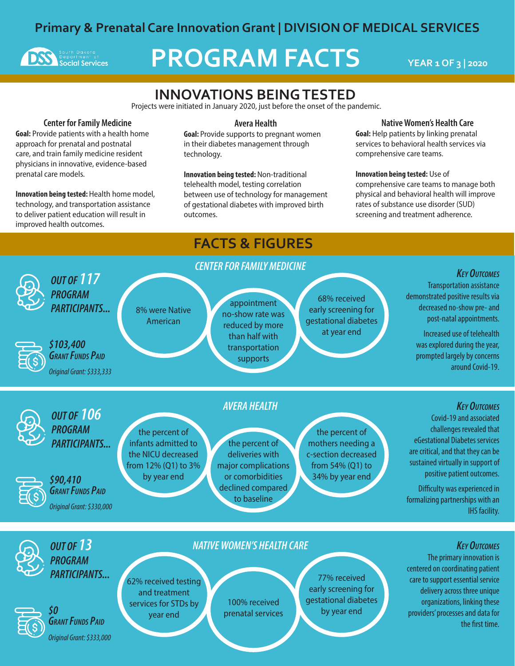# **Primary & Prenatal Care Innovation Grant | DIVISION OF MEDICAL SERVICES**



# **PROGRAM FACTS YEAR 1 OF 3 | 2020**

# **INNOVATIONS BEING TESTED**

Projects were initiated in January 2020, just before the onset of the pandemic.

#### Center for Family Medicine

Goal: Provide patients with a health home approach for prenatal and postnatal care, and train family medicine resident physicians in innovative, evidence-based prenatal care models.

Innovation being tested: Health home model, technology, and transportation assistance to deliver patient education will result in improved health outcomes.

#### Avera Health

**Goal:** Provide supports to pregnant women in their diabetes management through technology.

Innovation being tested: Non-traditional telehealth model, testing correlation between use of technology for management of gestational diabetes with improved birth outcomes.

#### Native Women's Health Care

Goal: Help patients by linking prenatal services to behavioral health services via comprehensive care teams.

#### Innovation being tested: Use of

comprehensive care teams to manage both physical and behavioral health will improve rates of substance use disorder (SUD) screening and treatment adherence.

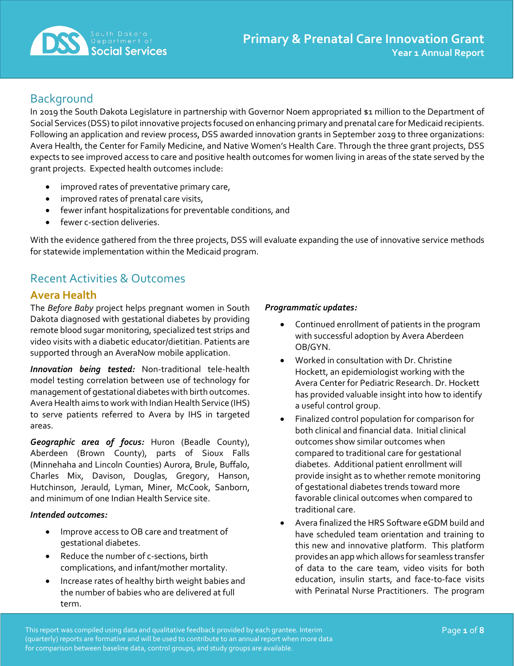

# **Background**

In 2019 the South Dakota Legislature in partnership with Governor Noem appropriated \$1 million to the Department of Social Services (DSS) to pilot innovative projects focused on enhancing primary and prenatal care for Medicaid recipients. Following an application and review process, DSS awarded innovation grants in September 2019 to three organizations: Avera Health, the Center for Family Medicine, and Native Women's Health Care. Through the three grant projects, DSS expects to see improved access to care and positive health outcomes for women living in areas of the state served by the grant projects. Expected health outcomes include:

- improved rates of preventative primary care,
- improved rates of prenatal care visits,
- fewer infant hospitalizations for preventable conditions, and
- fewer c-section deliveries.

With the evidence gathered from the three projects, DSS will evaluate expanding the use of innovative service methods for statewide implementation within the Medicaid program.

# Recent Activities & Outcomes

### **Avera Health**

The *Before Baby* project helps pregnant women in South Dakota diagnosed with gestational diabetes by providing remote blood sugar monitoring, specialized test strips and video visits with a diabetic educator/dietitian. Patients are supported through an AveraNow mobile application.

*Innovation being tested:* Non-traditional tele-health model testing correlation between use of technology for management of gestational diabetes with birth outcomes. Avera Health aims to work with Indian Health Service (IHS) to serve patients referred to Avera by IHS in targeted areas.

*Geographic area of focus:* Huron (Beadle County), Aberdeen (Brown County), parts of Sioux Falls (Minnehaha and Lincoln Counties) Aurora, Brule, Buffalo, Charles Mix, Davison, Douglas, Gregory, Hanson, Hutchinson, Jerauld, Lyman, Miner, McCook, Sanborn, and minimum of one Indian Health Service site.

#### *Intended outcomes:*

- Improve access to OB care and treatment of gestational diabetes.
- Reduce the number of c-sections, birth complications, and infant/mother mortality.
- Increase rates of healthy birth weight babies and the number of babies who are delivered at full term.

#### *Programmatic updates:*

- Continued enrollment of patients in the program with successful adoption by Avera Aberdeen OB/GYN.
- Worked in consultation with Dr. Christine Hockett, an epidemiologist working with the Avera Center for Pediatric Research. Dr. Hockett has provided valuable insight into how to identify a useful control group.
- Finalized control population for comparison for both clinical and financial data. Initial clinical outcomes show similar outcomes when compared to traditional care for gestational diabetes. Additional patient enrollment will provide insight as to whether remote monitoring of gestational diabetes trends toward more favorable clinical outcomes when compared to traditional care.
- Avera finalized the HRS Software eGDM build and have scheduled team orientation and training to this new and innovative platform. This platform provides an app which allows for seamless transfer of data to the care team, video visits for both education, insulin starts, and face-to-face visits with Perinatal Nurse Practitioners. The program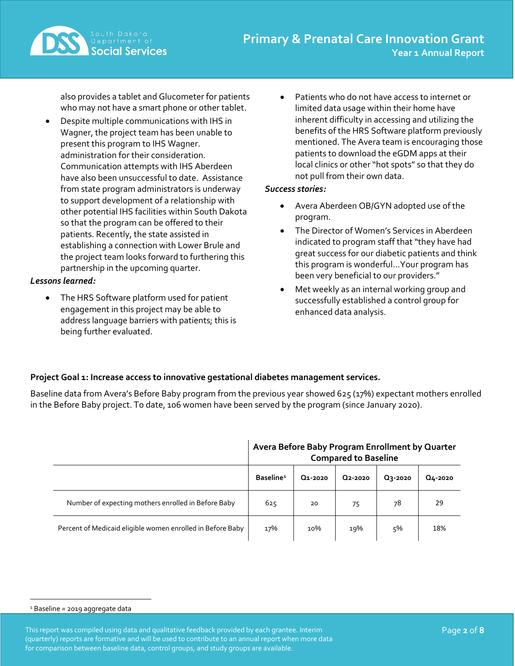

also provides a tablet and Glucometer for patients who may not have a smart phone or other tablet.

• Despite multiple communications with IHS in Wagner, the project team has been unable to present this program to IHS Wagner. administration for their consideration. Communication attempts with IHS Aberdeen have also been unsuccessful to date. Assistance from state program administrators is underway to support development of a relationship with other potential IHS facilities within South Dakota so that the program can be offered to their patients. Recently, the state assisted in establishing a connection with Lower Brule and the project team looks forward to furthering this partnership in the upcoming quarter.

#### *Lessons learned:*

The HRS Software platform used for patient engagement in this project may be able to address language barriers with patients; this is being further evaluated.

Patients who do not have access to internet or limited data usage within their home have inherent difficulty in accessing and utilizing the benefits of the HRS Software platform previously mentioned. The Avera team is encouraging those patients to download the eGDM apps at their local clinics or other "hot spots" so that they do not pull from their own data.

#### *Success stories:*

- Avera Aberdeen OB/GYN adopted use of the program.
- The Director of Women's Services in Aberdeen indicated to program staff that "they have had great success for our diabetic patients and think this program is wonderful…Your program has been very beneficial to our providers."
- Met weekly as an internal working group and successfully established a control group for enhanced data analysis.

#### **Project Goal 1: Increase access to innovative gestational diabetes management services.**

Baseline data from Avera's Before Baby program from the previous year showed 625 (17%) expectant mothers enrolled in the Before Baby project. To date, 106 women have been served by the program (since January 2020).

|                                                            | Avera Before Baby Program Enrollment by Quarter<br><b>Compared to Baseline</b> |         |                      |                |         |  |
|------------------------------------------------------------|--------------------------------------------------------------------------------|---------|----------------------|----------------|---------|--|
|                                                            | Baseline <sup>1</sup>                                                          | Q1-2020 | Q <sub>2</sub> -2020 | <b>Q3-2020</b> | Q4-2020 |  |
| Number of expecting mothers enrolled in Before Baby        | 625                                                                            | 20      | 75                   | 78             | 29      |  |
| Percent of Medicaid eligible women enrolled in Before Baby | 17%                                                                            | 10%     | 19%                  | 5%             | 18%     |  |

#### <span id="page-2-0"></span><sup>1</sup> Baseline = 2019 aggregate data

This report was compiled using data and qualitative feedback provided by each grantee. Interim Page **2** of **8** (quarterly) reports are formative and will be used to contribute to an annual report when more data for comparison between baseline data, control groups, and study groups are available.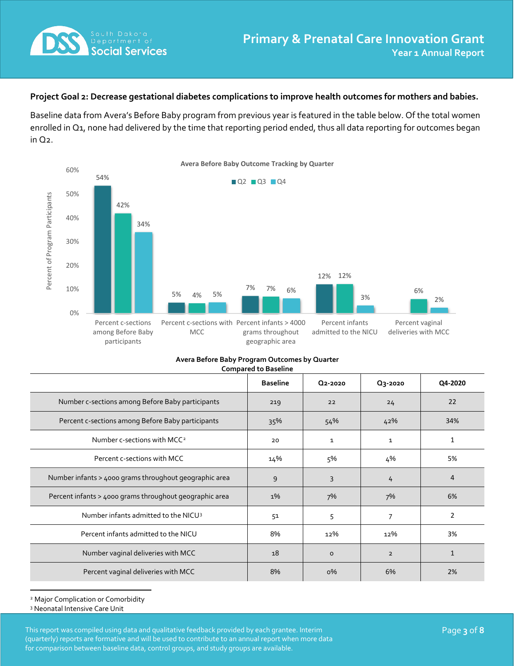

#### **Project Goal 2: Decrease gestational diabetes complications to improve health outcomes for mothers and babies.**

Baseline data from Avera's Before Baby program from previous year is featured in the table below. Of the total women enrolled in Q1, none had delivered by the time that reporting period ended, thus all data reporting for outcomes began in Q2.



| Avera Before Baby Program Outcomes by Quarter |  |
|-----------------------------------------------|--|
| <b>Compared to Baseline</b>                   |  |

|                                                         | <b>Baseline</b> | Q2-2020      | Q3-2020        | Q4-2020 |
|---------------------------------------------------------|-----------------|--------------|----------------|---------|
| Number c-sections among Before Baby participants        | 219             | 22           | 24             | 22      |
| Percent c-sections among Before Baby participants       | 35%             | 54%          | 42%            | 34%     |
| Number c-sections with MCC <sup>2</sup>                 | 20              | $\mathbf{1}$ | $\mathbf{1}$   | 1       |
| Percent c-sections with MCC                             | 14%             | 5%           | 4%             | 5%      |
| Number infants > 4000 grams throughout geographic area  | 9               | 3            | 4              | 4       |
| Percent infants > 4000 grams throughout geographic area | $1\%$           | 7%           | 7%             | 6%      |
| Number infants admitted to the NICU <sup>3</sup>        | 51              | 5            | 7              | 2       |
| Percent infants admitted to the NICU                    | 8%              | 12%          | 12%            | 3%      |
| Number vaginal deliveries with MCC                      | 18              | $\circ$      | $\overline{2}$ |         |
| Percent vaginal deliveries with MCC                     | 8%              | $0\%$        | 6%             | 2%      |

<span id="page-3-0"></span><sup>2</sup> Major Complication or Comorbidity

<span id="page-3-1"></span><sup>3</sup> Neonatal Intensive Care Unit

This report was compiled using data and qualitative feedback provided by each grantee. Interim Page **3** of **8** (quarterly) reports are formative and will be used to contribute to an annual report when more data for comparison between baseline data, control groups, and study groups are available.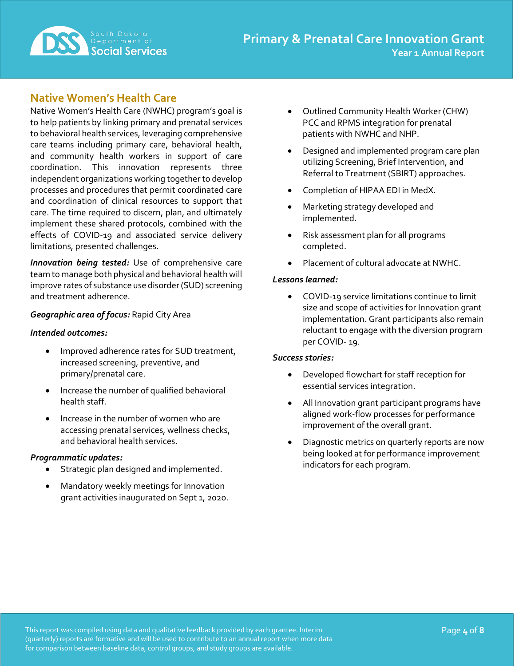

## **Native Women's Health Care**

Native Women's Health Care (NWHC) program's goal is to help patients by linking primary and prenatal services to behavioral health services, leveraging comprehensive care teams including primary care, behavioral health, and community health workers in support of care coordination. This innovation represents three independent organizations working together to develop processes and procedures that permit coordinated care and coordination of clinical resources to support that care. The time required to discern, plan, and ultimately implement these shared protocols, combined with the effects of COVID-19 and associated service delivery limitations, presented challenges.

*Innovation being tested:* Use of comprehensive care team to manage both physical and behavioral health will improve rates of substance use disorder (SUD) screening and treatment adherence.

#### *Geographic area of focus:* Rapid City Area

#### *Intended outcomes:*

- Improved adherence rates for SUD treatment, increased screening, preventive, and primary/prenatal care.
- Increase the number of qualified behavioral health staff.
- Increase in the number of women who are accessing prenatal services, wellness checks, and behavioral health services.

#### *Programmatic updates:*

- Strategic plan designed and implemented.
- Mandatory weekly meetings for Innovation grant activities inaugurated on Sept 1, 2020.
- Outlined Community Health Worker (CHW) PCC and RPMS integration for prenatal patients with NWHC and NHP.
- Designed and implemented program care plan utilizing Screening, Brief Intervention, and Referral to Treatment (SBIRT) approaches.
- Completion of HIPAA EDI in MedX.
- Marketing strategy developed and implemented.
- Risk assessment plan for all programs completed.
- Placement of cultural advocate at NWHC.

#### *Lessons learned:*

• COVID-19 service limitations continue to limit size and scope of activities for Innovation grant implementation. Grant participants also remain reluctant to engage with the diversion program per COVID- 19.

#### *Success stories:*

- Developed flowchart for staff reception for essential services integration.
- All Innovation grant participant programs have aligned work-flow processes for performance improvement of the overall grant.
- Diagnostic metrics on quarterly reports are now being looked at for performance improvement indicators for each program.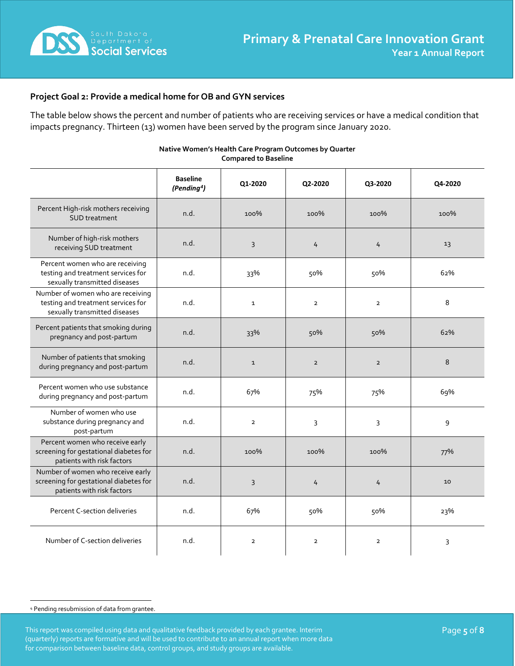

#### **Project Goal 2: Provide a medical home for OB and GYN services**

The table below shows the percent and number of patients who are receiving services or have a medical condition that impacts pregnancy. Thirteen (13) women have been served by the program since January 2020.

|                                                                                                           | <b>Baseline</b><br>(Pending <sup>4</sup> ) | Q1-2020                 | Q2-2020        | Q3-2020        | Q4-2020 |
|-----------------------------------------------------------------------------------------------------------|--------------------------------------------|-------------------------|----------------|----------------|---------|
| Percent High-risk mothers receiving<br><b>SUD</b> treatment                                               | n.d.                                       | 100%                    | 100%           | 100%           | 100%    |
| Number of high-risk mothers<br>receiving SUD treatment                                                    | n.d.                                       | 3                       | 4              | 4              | 13      |
| Percent women who are receiving<br>testing and treatment services for<br>sexually transmitted diseases    | n.d.                                       | 33%                     | 50%            | 50%            | 62%     |
| Number of women who are receiving<br>testing and treatment services for<br>sexually transmitted diseases  | n.d.                                       | $\mathbf{1}$            | $\overline{2}$ | $\overline{2}$ | 8       |
| Percent patients that smoking during<br>pregnancy and post-partum                                         | n.d.                                       | 33%                     | 50%            | 50%            | 62%     |
| Number of patients that smoking<br>during pregnancy and post-partum                                       | n.d.                                       | $\mathbf{1}$            | $\overline{2}$ | $\overline{2}$ | 8       |
| Percent women who use substance<br>during pregnancy and post-partum                                       | n.d.                                       | 67%                     | 75%            | 75%            | 69%     |
| Number of women who use<br>substance during pregnancy and<br>post-partum                                  | n.d.                                       | $\overline{2}$          | 3              | 3              | 9       |
| Percent women who receive early<br>screening for gestational diabetes for<br>patients with risk factors   | n.d.                                       | 100%                    | 100%           | 100%           | 77%     |
| Number of women who receive early<br>screening for gestational diabetes for<br>patients with risk factors | n.d.                                       | 3                       | 4              | 4              | 10      |
| Percent C-section deliveries                                                                              | n.d.                                       | 67%                     | 50%            | 50%            | 23%     |
| Number of C-section deliveries                                                                            | n.d.                                       | $\overline{\mathbf{2}}$ | $\overline{2}$ | $\overline{2}$ | 3       |

#### **Native Women's Health Care Program Outcomes by Quarter Compared to Baseline**

<span id="page-5-0"></span><sup>4</sup> Pending resubmission of data from grantee.

This report was compiled using data and qualitative feedback provided by each grantee. Interim **Page 1996 and State State 5** of 8 (quarterly) reports are formative and will be used to contribute to an annual report when more data for comparison between baseline data, control groups, and study groups are available.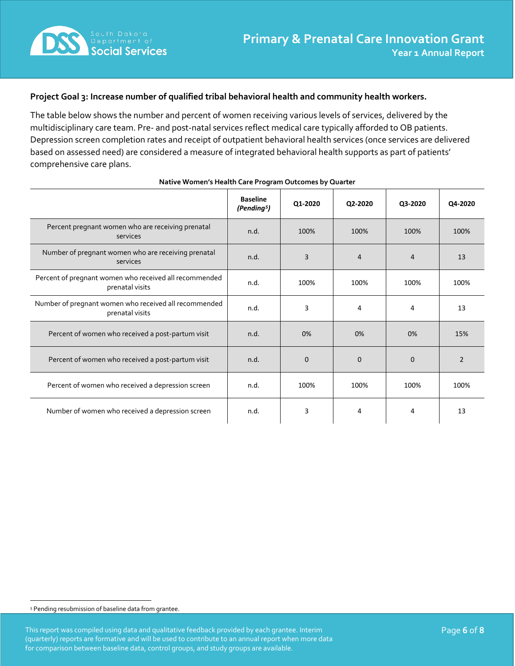

#### **Project Goal 3: Increase number of qualified tribal behavioral health and community health workers.**

The table below shows the number and percent of women receiving various levels of services, delivered by the multidisciplinary care team. Pre- and post-natal services reflect medical care typically afforded to OB patients. Depression screen completion rates and receipt of outpatient behavioral health services (once services are delivered based on assessed need) are considered a measure of integrated behavioral health supports as part of patients' comprehensive care plans.

|                                                                           | <b>Baseline</b><br>(Pending <sup>5</sup> ) | Q1-2020     | Q2-2020     | Q3-2020        | Q4-2020        |
|---------------------------------------------------------------------------|--------------------------------------------|-------------|-------------|----------------|----------------|
| Percent pregnant women who are receiving prenatal<br>services             | n.d.                                       | 100%        | 100%        | 100%           | 100%           |
| Number of pregnant women who are receiving prenatal<br>services           | n.d.                                       | 3           | 4           | $\overline{4}$ | 13             |
| Percent of pregnant women who received all recommended<br>prenatal visits | n.d.                                       | 100%        | 100%        | 100%           | 100%           |
| Number of pregnant women who received all recommended<br>prenatal visits  | n.d.                                       | 3           | 4           | 4              | 13             |
| Percent of women who received a post-partum visit                         | n.d.                                       | 0%          | 0%          | 0%             | 15%            |
| Percent of women who received a post-partum visit                         | n.d.                                       | $\mathbf 0$ | $\mathbf 0$ | $\Omega$       | $\overline{2}$ |
| Percent of women who received a depression screen                         | n.d.                                       | 100%        | 100%        | 100%           | 100%           |
| Number of women who received a depression screen                          | n.d.                                       | 3           | 4           | 4              | 13             |

#### **Native Women's Health Care Program Outcomes by Quarter**

<span id="page-6-0"></span><sup>5</sup> Pending resubmission of baseline data from grantee.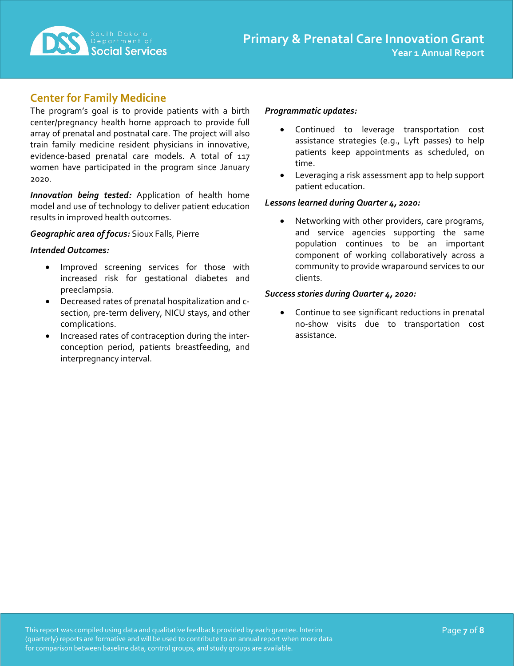

## **Center for Family Medicine**

The program's goal is to provide patients with a birth center/pregnancy health home approach to provide full array of prenatal and postnatal care. The project will also train family medicine resident physicians in innovative, evidence-based prenatal care models. A total of 117 women have participated in the program since January 2020.

*Innovation being tested:* Application of health home model and use of technology to deliver patient education results in improved health outcomes.

#### *Geographic area of focus:* Sioux Falls, Pierre

#### *Intended Outcomes:*

- Improved screening services for those with increased risk for gestational diabetes and preeclampsia.
- Decreased rates of prenatal hospitalization and csection, pre-term delivery, NICU stays, and other complications.
- Increased rates of contraception during the interconception period, patients breastfeeding, and interpregnancy interval.

#### *Programmatic updates:*

- Continued to leverage transportation cost assistance strategies (e.g., Lyft passes) to help patients keep appointments as scheduled, on time.
- Leveraging a risk assessment app to help support patient education.

#### *Lessons learned during Quarter 4, 2020:*

Networking with other providers, care programs, and service agencies supporting the same population continues to be an important component of working collaboratively across a community to provide wraparound services to our clients.

#### *Success stories during Quarter 4, 2020:*

Continue to see significant reductions in prenatal no-show visits due to transportation cost assistance.